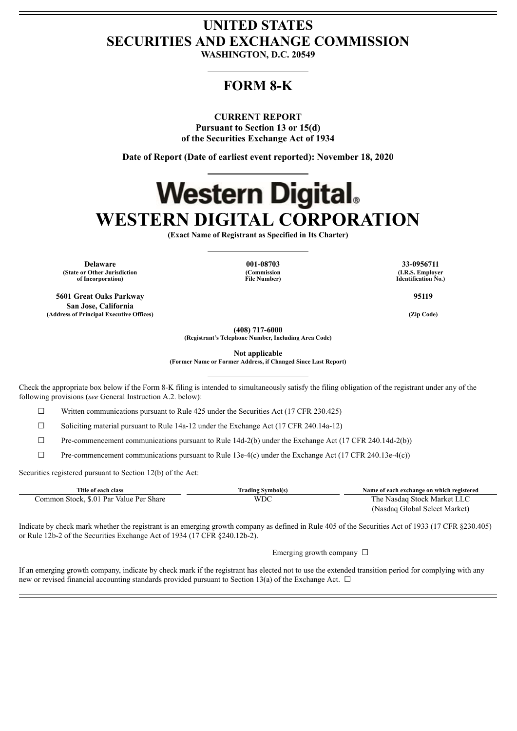## **UNITED STATES SECURITIES AND EXCHANGE COMMISSION**

**WASHINGTON, D.C. 20549**

### **FORM 8-K**

#### **CURRENT REPORT**

**Pursuant to Section 13 or 15(d) of the Securities Exchange Act of 1934**

**Date of Report (Date of earliest event reported): November 18, 2020**

# **Western Digital. WESTERN DIGITAL CORPORATION**

**(Exact Name of Registrant as Specified in Its Charter)**

**Delaware 001-08703 33-0956711 (State or Other Jurisdiction of Incorporation)**

**5601 Great Oaks Parkway San Jose, California (Address of Principal Executive Offices) (Zip Code)**

**(Commission File Number)**

**(I.R.S. Employer Identification No.)**

**95119**

**(408) 717-6000**

**(Registrant's Telephone Number, Including Area Code)**

**Not applicable**

**(Former Name or Former Address, if Changed Since Last Report)**

Check the appropriate box below if the Form 8-K filing is intended to simultaneously satisfy the filing obligation of the registrant under any of the following provisions (*see* General Instruction A.2. below):

 $\Box$  Written communications pursuant to Rule 425 under the Securities Act (17 CFR 230.425)

 $\Box$  Soliciting material pursuant to Rule 14a-12 under the Exchange Act (17 CFR 240.14a-12)

 $\Box$  Pre-commencement communications pursuant to Rule 14d-2(b) under the Exchange Act (17 CFR 240.14d-2(b))

☐ Pre-commencement communications pursuant to Rule 13e-4(c) under the Exchange Act (17 CFR 240.13e-4(c))

Securities registered pursuant to Section 12(b) of the Act:

| Title of each class                     | <b>Trading Symbol(s)</b> | Name of each exchange on which registered |
|-----------------------------------------|--------------------------|-------------------------------------------|
| Common Stock, \$.01 Par Value Per Share | WDC                      | The Nasdaq Stock Market LLC               |
|                                         |                          | (Nasdaq Global Select Market)             |

Indicate by check mark whether the registrant is an emerging growth company as defined in Rule 405 of the Securities Act of 1933 (17 CFR §230.405) or Rule 12b-2 of the Securities Exchange Act of 1934 (17 CFR §240.12b-2).

Emerging growth company  $\Box$ 

If an emerging growth company, indicate by check mark if the registrant has elected not to use the extended transition period for complying with any new or revised financial accounting standards provided pursuant to Section 13(a) of the Exchange Act.  $\Box$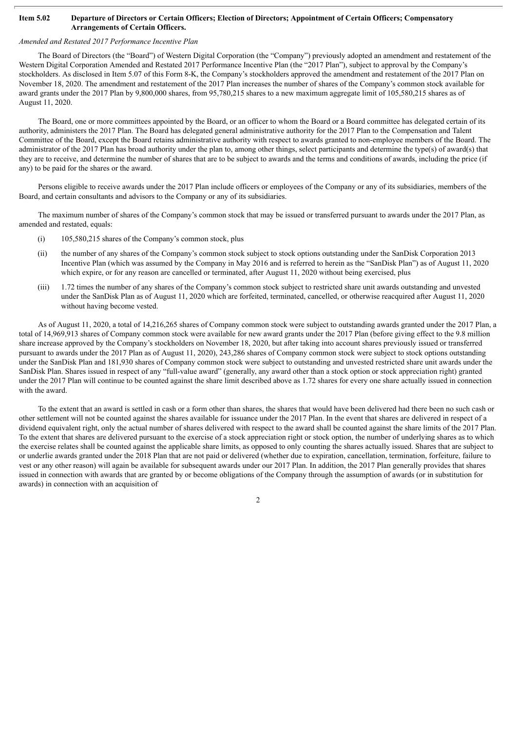#### Item 5.02 Departure of Directors or Certain Officers; Election of Directors; Appointment of Certain Officers; Compensatory **Arrangements of Certain Officers.**

#### *Amended and Restated 2017 Performance Incentive Plan*

The Board of Directors (the "Board") of Western Digital Corporation (the "Company") previously adopted an amendment and restatement of the Western Digital Corporation Amended and Restated 2017 Performance Incentive Plan (the "2017 Plan"), subject to approval by the Company's stockholders. As disclosed in Item 5.07 of this Form 8-K, the Company's stockholders approved the amendment and restatement of the 2017 Plan on November 18, 2020. The amendment and restatement of the 2017 Plan increases the number of shares of the Company's common stock available for award grants under the 2017 Plan by 9,800,000 shares, from 95,780,215 shares to a new maximum aggregate limit of 105,580,215 shares as of August 11, 2020.

The Board, one or more committees appointed by the Board, or an officer to whom the Board or a Board committee has delegated certain of its authority, administers the 2017 Plan. The Board has delegated general administrative authority for the 2017 Plan to the Compensation and Talent Committee of the Board, except the Board retains administrative authority with respect to awards granted to non-employee members of the Board. The administrator of the 2017 Plan has broad authority under the plan to, among other things, select participants and determine the type(s) of award(s) that they are to receive, and determine the number of shares that are to be subject to awards and the terms and conditions of awards, including the price (if any) to be paid for the shares or the award.

Persons eligible to receive awards under the 2017 Plan include officers or employees of the Company or any of its subsidiaries, members of the Board, and certain consultants and advisors to the Company or any of its subsidiaries.

The maximum number of shares of the Company's common stock that may be issued or transferred pursuant to awards under the 2017 Plan, as amended and restated, equals:

- (i) 105,580,215 shares of the Company's common stock, plus
- (ii) the number of any shares of the Company's common stock subject to stock options outstanding under the SanDisk Corporation 2013 Incentive Plan (which was assumed by the Company in May 2016 and is referred to herein as the "SanDisk Plan") as of August 11, 2020 which expire, or for any reason are cancelled or terminated, after August 11, 2020 without being exercised, plus
- (iii) 1.72 times the number of any shares of the Company's common stock subject to restricted share unit awards outstanding and unvested under the SanDisk Plan as of August 11, 2020 which are forfeited, terminated, cancelled, or otherwise reacquired after August 11, 2020 without having become vested.

As of August 11, 2020, a total of 14,216,265 shares of Company common stock were subject to outstanding awards granted under the 2017 Plan, a total of 14,969,913 shares of Company common stock were available for new award grants under the 2017 Plan (before giving effect to the 9.8 million share increase approved by the Company's stockholders on November 18, 2020, but after taking into account shares previously issued or transferred pursuant to awards under the 2017 Plan as of August 11, 2020), 243,286 shares of Company common stock were subject to stock options outstanding under the SanDisk Plan and 181,930 shares of Company common stock were subject to outstanding and unvested restricted share unit awards under the SanDisk Plan. Shares issued in respect of any "full-value award" (generally, any award other than a stock option or stock appreciation right) granted under the 2017 Plan will continue to be counted against the share limit described above as 1.72 shares for every one share actually issued in connection with the award.

To the extent that an award is settled in cash or a form other than shares, the shares that would have been delivered had there been no such cash or other settlement will not be counted against the shares available for issuance under the 2017 Plan. In the event that shares are delivered in respect of a dividend equivalent right, only the actual number of shares delivered with respect to the award shall be counted against the share limits of the 2017 Plan. To the extent that shares are delivered pursuant to the exercise of a stock appreciation right or stock option, the number of underlying shares as to which the exercise relates shall be counted against the applicable share limits, as opposed to only counting the shares actually issued. Shares that are subject to or underlie awards granted under the 2018 Plan that are not paid or delivered (whether due to expiration, cancellation, termination, forfeiture, failure to vest or any other reason) will again be available for subsequent awards under our 2017 Plan. In addition, the 2017 Plan generally provides that shares issued in connection with awards that are granted by or become obligations of the Company through the assumption of awards (or in substitution for awards) in connection with an acquisition of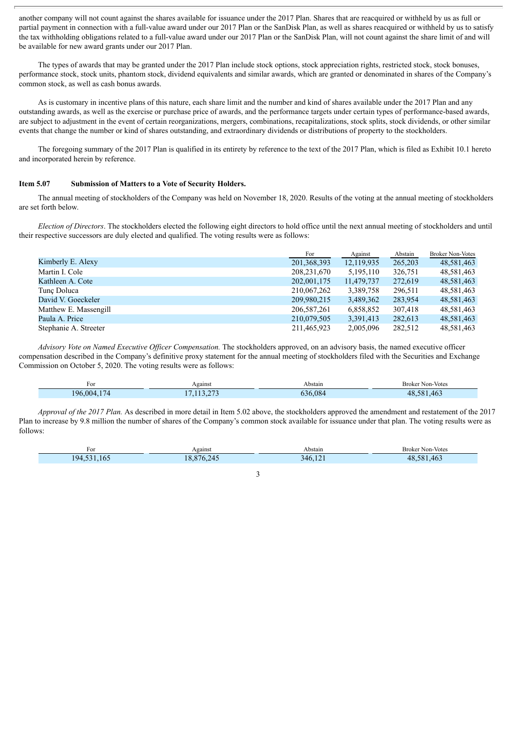another company will not count against the shares available for issuance under the 2017 Plan. Shares that are reacquired or withheld by us as full or partial payment in connection with a full-value award under our 2017 Plan or the SanDisk Plan, as well as shares reacquired or withheld by us to satisfy the tax withholding obligations related to a full-value award under our 2017 Plan or the SanDisk Plan, will not count against the share limit of and will be available for new award grants under our 2017 Plan.

The types of awards that may be granted under the 2017 Plan include stock options, stock appreciation rights, restricted stock, stock bonuses, performance stock, stock units, phantom stock, dividend equivalents and similar awards, which are granted or denominated in shares of the Company's common stock, as well as cash bonus awards.

As is customary in incentive plans of this nature, each share limit and the number and kind of shares available under the 2017 Plan and any outstanding awards, as well as the exercise or purchase price of awards, and the performance targets under certain types of performance-based awards, are subject to adjustment in the event of certain reorganizations, mergers, combinations, recapitalizations, stock splits, stock dividends, or other similar events that change the number or kind of shares outstanding, and extraordinary dividends or distributions of property to the stockholders.

The foregoing summary of the 2017 Plan is qualified in its entirety by reference to the text of the 2017 Plan, which is filed as Exhibit 10.1 hereto and incorporated herein by reference.

#### **Item 5.07 Submission of Matters to a Vote of Security Holders.**

The annual meeting of stockholders of the Company was held on November 18, 2020. Results of the voting at the annual meeting of stockholders are set forth below.

*Election of Directors*. The stockholders elected the following eight directors to hold office until the next annual meeting of stockholders and until their respective successors are duly elected and qualified. The voting results were as follows:

|                       | For           | Against    | Abstain | <b>Broker Non-Votes</b> |
|-----------------------|---------------|------------|---------|-------------------------|
| Kimberly E. Alexy     | 201, 368, 393 | 12,119,935 | 265,203 | 48,581,463              |
| Martin I. Cole        | 208, 231, 670 | 5,195,110  | 326,751 | 48,581,463              |
| Kathleen A. Cote      | 202,001,175   | 11,479,737 | 272,619 | 48,581,463              |
| Tunc Doluca           | 210,067,262   | 3,389,758  | 296,511 | 48,581,463              |
| David V. Goeckeler    | 209,980,215   | 3,489,362  | 283,954 | 48,581,463              |
| Matthew E. Massengill | 206, 587, 261 | 6,858,852  | 307,418 | 48,581,463              |
| Paula A. Price        | 210,079,505   | 3,391,413  | 282,613 | 48,581,463              |
| Stephanie A. Streeter | 211,465,923   | 2,005,096  | 282,512 | 48,581,463              |

*Advisory Vote on Named Executive Of icer Compensation.* The stockholders approved, on an advisory basis, the named executive officer compensation described in the Company's definitive proxy statement for the annual meeting of stockholders filed with the Securities and Exchange Commission on October 5, 2020. The voting results were as follows:

| For      | Against    | Abstain | <b>Broker Non-Votes</b> |
|----------|------------|---------|-------------------------|
| 174      | 1120272    | 536.084 | 581.463                 |
| 196.004. | . <i>.</i> |         | $\overline{48}$         |

*Approval of the 2017 Plan.* As described in more detail in Item 5.02 above, the stockholders approved the amendment and restatement of the 2017 Plan to increase by 9.8 million the number of shares of the Company's common stock available for issuance under that plan. The voting results were as follows:

| $\overline{\phantom{a}}$<br>Foi | Against     | Abstain          | <b>Broker Non-Votes</b> |
|---------------------------------|-------------|------------------|-------------------------|
| $^{1}94$<br>.102<br>$\sim$      | 876.245<br> | $\sim$<br>346.14 | 581.463<br>48           |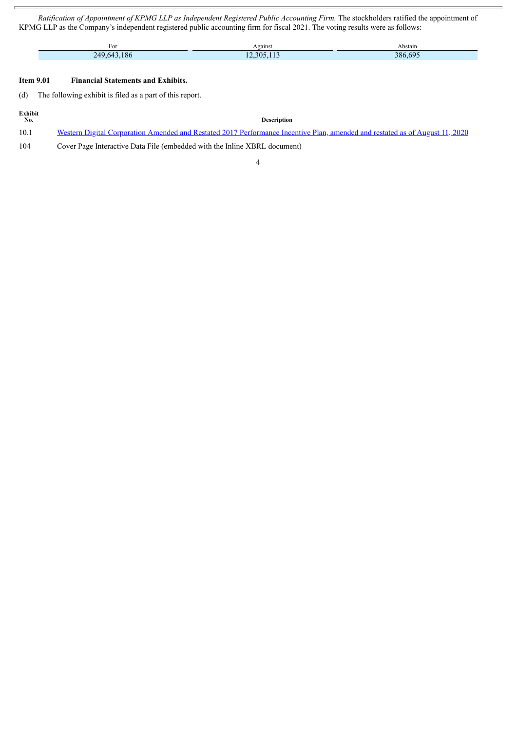*Ratification of Appointment of KPMG LLP as Independent Registered Public Accounting Firm.* The stockholders ratified the appointment of KPMG LLP as the Company's independent registered public accounting firm for fiscal 2021. The voting results were as follows:

| For                      | Against | Abstain     |
|--------------------------|---------|-------------|
| иu<br><b>DA</b><br>1 O C | 305     | 386 i<br>nu |

#### **Item 9.01 Financial Statements and Exhibits.**

(d) The following exhibit is filed as a part of this report.

| Exhibit<br>No. | Description                                                                                                                  |
|----------------|------------------------------------------------------------------------------------------------------------------------------|
| 10.1           | Western Digital Corporation Amended and Restated 2017 Performance Incentive Plan, amended and restated as of August 11, 2020 |
| 104            | Cover Page Interactive Data File (embedded with the Inline XBRL document)                                                    |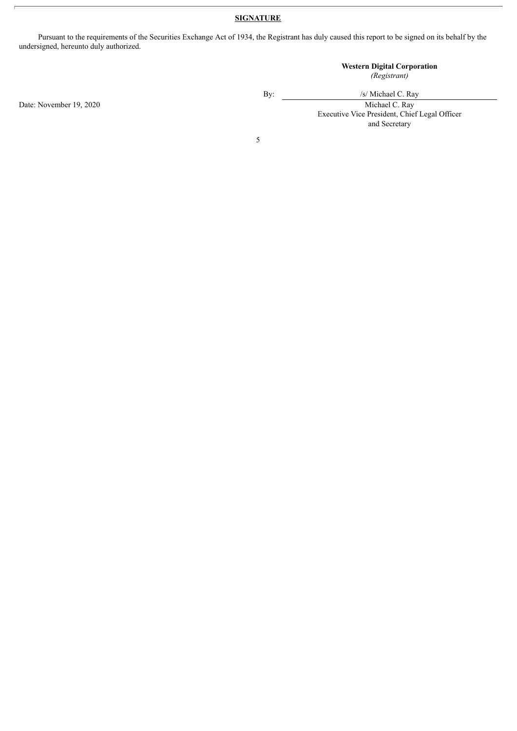#### **SIGNATURE**

Pursuant to the requirements of the Securities Exchange Act of 1934, the Registrant has duly caused this report to be signed on its behalf by the undersigned, hereunto duly authorized.

## **Western Digital Corporation**

*(Registrant)*

Date: November 19, 2020 Michael C. Ray

By:  $\frac{1}{s}$  /s/ Michael C. Ray

Executive Vice President, Chief Legal Officer and Secretary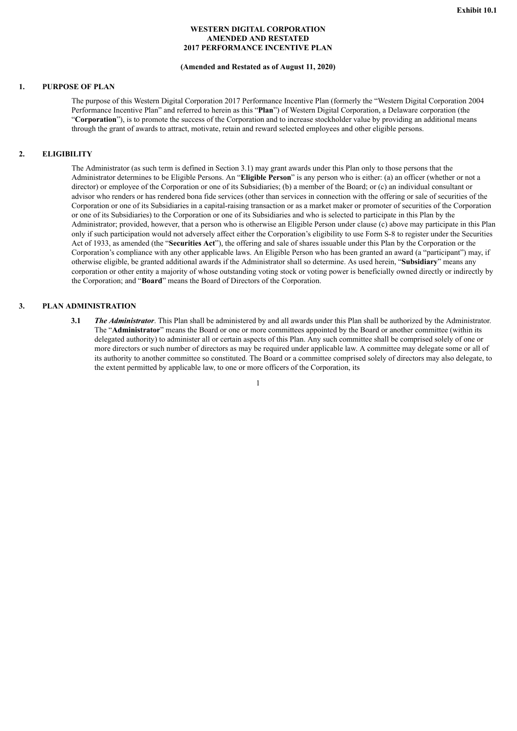#### **WESTERN DIGITAL CORPORATION AMENDED AND RESTATED 2017 PERFORMANCE INCENTIVE PLAN**

#### **(Amended and Restated as of August 11, 2020)**

#### <span id="page-5-0"></span>**1. PURPOSE OF PLAN**

The purpose of this Western Digital Corporation 2017 Performance Incentive Plan (formerly the "Western Digital Corporation 2004 Performance Incentive Plan" and referred to herein as this "**Plan**") of Western Digital Corporation, a Delaware corporation (the "**Corporation**"), is to promote the success of the Corporation and to increase stockholder value by providing an additional means through the grant of awards to attract, motivate, retain and reward selected employees and other eligible persons.

#### **2. ELIGIBILITY**

The Administrator (as such term is defined in Section 3.1) may grant awards under this Plan only to those persons that the Administrator determines to be Eligible Persons. An "**Eligible Person**" is any person who is either: (a) an officer (whether or not a director) or employee of the Corporation or one of its Subsidiaries; (b) a member of the Board; or (c) an individual consultant or advisor who renders or has rendered bona fide services (other than services in connection with the offering or sale of securities of the Corporation or one of its Subsidiaries in a capital-raising transaction or as a market maker or promoter of securities of the Corporation or one of its Subsidiaries) to the Corporation or one of its Subsidiaries and who is selected to participate in this Plan by the Administrator; provided, however, that a person who is otherwise an Eligible Person under clause (c) above may participate in this Plan only if such participation would not adversely affect either the Corporation's eligibility to use Form S-8 to register under the Securities Act of 1933, as amended (the "**Securities Act**"), the offering and sale of shares issuable under this Plan by the Corporation or the Corporation's compliance with any other applicable laws. An Eligible Person who has been granted an award (a "participant") may, if otherwise eligible, be granted additional awards if the Administrator shall so determine. As used herein, "**Subsidiary**" means any corporation or other entity a majority of whose outstanding voting stock or voting power is beneficially owned directly or indirectly by the Corporation; and "**Board**" means the Board of Directors of the Corporation.

#### **3. PLAN ADMINISTRATION**

**3.1** *The Administrator*. This Plan shall be administered by and all awards under this Plan shall be authorized by the Administrator. The "**Administrator**" means the Board or one or more committees appointed by the Board or another committee (within its delegated authority) to administer all or certain aspects of this Plan. Any such committee shall be comprised solely of one or more directors or such number of directors as may be required under applicable law. A committee may delegate some or all of its authority to another committee so constituted. The Board or a committee comprised solely of directors may also delegate, to the extent permitted by applicable law, to one or more officers of the Corporation, its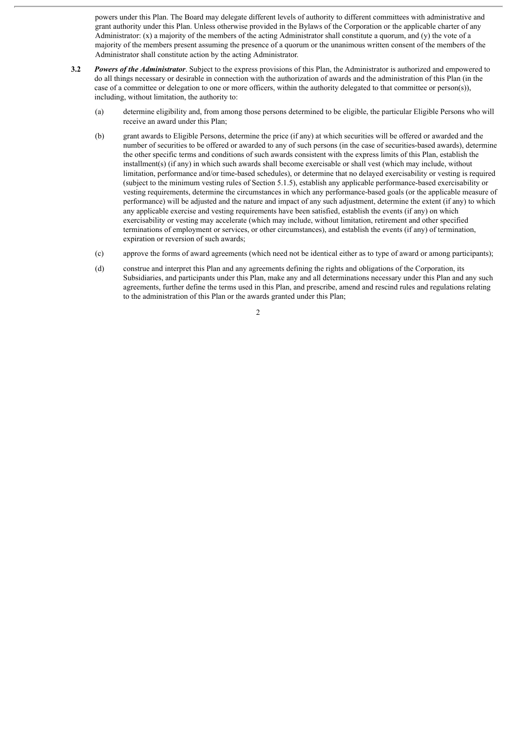powers under this Plan. The Board may delegate different levels of authority to different committees with administrative and grant authority under this Plan. Unless otherwise provided in the Bylaws of the Corporation or the applicable charter of any Administrator: (x) a majority of the members of the acting Administrator shall constitute a quorum, and (y) the vote of a majority of the members present assuming the presence of a quorum or the unanimous written consent of the members of the Administrator shall constitute action by the acting Administrator.

- **3.2** *Powers of the Administrator*. Subject to the express provisions of this Plan, the Administrator is authorized and empowered to do all things necessary or desirable in connection with the authorization of awards and the administration of this Plan (in the case of a committee or delegation to one or more officers, within the authority delegated to that committee or person(s)), including, without limitation, the authority to:
	- (a) determine eligibility and, from among those persons determined to be eligible, the particular Eligible Persons who will receive an award under this Plan;
	- (b) grant awards to Eligible Persons, determine the price (if any) at which securities will be offered or awarded and the number of securities to be offered or awarded to any of such persons (in the case of securities-based awards), determine the other specific terms and conditions of such awards consistent with the express limits of this Plan, establish the installment(s) (if any) in which such awards shall become exercisable or shall vest (which may include, without limitation, performance and/or time-based schedules), or determine that no delayed exercisability or vesting is required (subject to the minimum vesting rules of Section 5.1.5), establish any applicable performance-based exercisability or vesting requirements, determine the circumstances in which any performance-based goals (or the applicable measure of performance) will be adjusted and the nature and impact of any such adjustment, determine the extent (if any) to which any applicable exercise and vesting requirements have been satisfied, establish the events (if any) on which exercisability or vesting may accelerate (which may include, without limitation, retirement and other specified terminations of employment or services, or other circumstances), and establish the events (if any) of termination, expiration or reversion of such awards;
	- (c) approve the forms of award agreements (which need not be identical either as to type of award or among participants);
	- (d) construe and interpret this Plan and any agreements defining the rights and obligations of the Corporation, its Subsidiaries, and participants under this Plan, make any and all determinations necessary under this Plan and any such agreements, further define the terms used in this Plan, and prescribe, amend and rescind rules and regulations relating to the administration of this Plan or the awards granted under this Plan;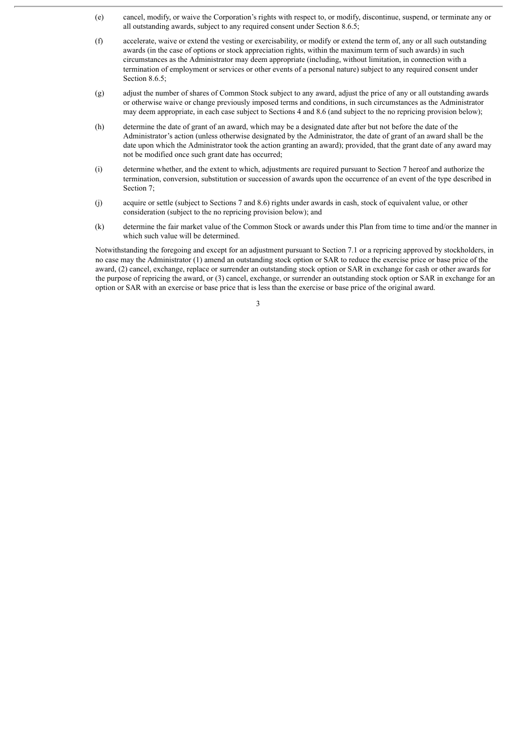- (e) cancel, modify, or waive the Corporation's rights with respect to, or modify, discontinue, suspend, or terminate any or all outstanding awards, subject to any required consent under Section 8.6.5;
- (f) accelerate, waive or extend the vesting or exercisability, or modify or extend the term of, any or all such outstanding awards (in the case of options or stock appreciation rights, within the maximum term of such awards) in such circumstances as the Administrator may deem appropriate (including, without limitation, in connection with a termination of employment or services or other events of a personal nature) subject to any required consent under Section 8.6.5;
- (g) adjust the number of shares of Common Stock subject to any award, adjust the price of any or all outstanding awards or otherwise waive or change previously imposed terms and conditions, in such circumstances as the Administrator may deem appropriate, in each case subject to Sections 4 and 8.6 (and subject to the no repricing provision below);
- (h) determine the date of grant of an award, which may be a designated date after but not before the date of the Administrator's action (unless otherwise designated by the Administrator, the date of grant of an award shall be the date upon which the Administrator took the action granting an award); provided, that the grant date of any award may not be modified once such grant date has occurred;
- (i) determine whether, and the extent to which, adjustments are required pursuant to Section 7 hereof and authorize the termination, conversion, substitution or succession of awards upon the occurrence of an event of the type described in Section 7:
- (j) acquire or settle (subject to Sections 7 and 8.6) rights under awards in cash, stock of equivalent value, or other consideration (subject to the no repricing provision below); and
- (k) determine the fair market value of the Common Stock or awards under this Plan from time to time and/or the manner in which such value will be determined.

Notwithstanding the foregoing and except for an adjustment pursuant to Section 7.1 or a repricing approved by stockholders, in no case may the Administrator (1) amend an outstanding stock option or SAR to reduce the exercise price or base price of the award, (2) cancel, exchange, replace or surrender an outstanding stock option or SAR in exchange for cash or other awards for the purpose of repricing the award, or (3) cancel, exchange, or surrender an outstanding stock option or SAR in exchange for an option or SAR with an exercise or base price that is less than the exercise or base price of the original award.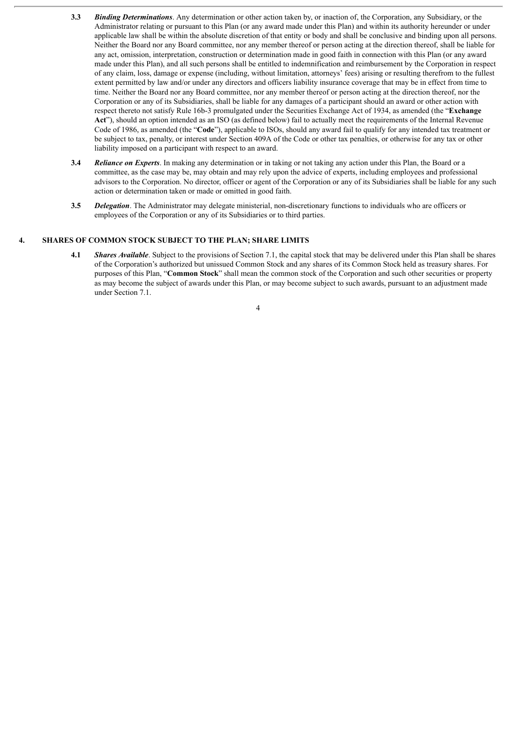- **3.3** *Binding Determinations*. Any determination or other action taken by, or inaction of, the Corporation, any Subsidiary, or the Administrator relating or pursuant to this Plan (or any award made under this Plan) and within its authority hereunder or under applicable law shall be within the absolute discretion of that entity or body and shall be conclusive and binding upon all persons. Neither the Board nor any Board committee, nor any member thereof or person acting at the direction thereof, shall be liable for any act, omission, interpretation, construction or determination made in good faith in connection with this Plan (or any award made under this Plan), and all such persons shall be entitled to indemnification and reimbursement by the Corporation in respect of any claim, loss, damage or expense (including, without limitation, attorneys' fees) arising or resulting therefrom to the fullest extent permitted by law and/or under any directors and officers liability insurance coverage that may be in effect from time to time. Neither the Board nor any Board committee, nor any member thereof or person acting at the direction thereof, nor the Corporation or any of its Subsidiaries, shall be liable for any damages of a participant should an award or other action with respect thereto not satisfy Rule 16b-3 promulgated under the Securities Exchange Act of 1934, as amended (the "**Exchange Act**"), should an option intended as an ISO (as defined below) fail to actually meet the requirements of the Internal Revenue Code of 1986, as amended (the "**Code**"), applicable to ISOs, should any award fail to qualify for any intended tax treatment or be subject to tax, penalty, or interest under Section 409A of the Code or other tax penalties, or otherwise for any tax or other liability imposed on a participant with respect to an award.
- **3.4** *Reliance on Experts*. In making any determination or in taking or not taking any action under this Plan, the Board or a committee, as the case may be, may obtain and may rely upon the advice of experts, including employees and professional advisors to the Corporation. No director, officer or agent of the Corporation or any of its Subsidiaries shall be liable for any such action or determination taken or made or omitted in good faith.
- **3.5** *Delegation*. The Administrator may delegate ministerial, non-discretionary functions to individuals who are officers or employees of the Corporation or any of its Subsidiaries or to third parties.

#### **4. SHARES OF COMMON STOCK SUBJECT TO THE PLAN; SHARE LIMITS**

**4.1** *Shares Available*. Subject to the provisions of Section 7.1, the capital stock that may be delivered under this Plan shall be shares of the Corporation's authorized but unissued Common Stock and any shares of its Common Stock held as treasury shares. For purposes of this Plan, "**Common Stock**" shall mean the common stock of the Corporation and such other securities or property as may become the subject of awards under this Plan, or may become subject to such awards, pursuant to an adjustment made under Section 7.1.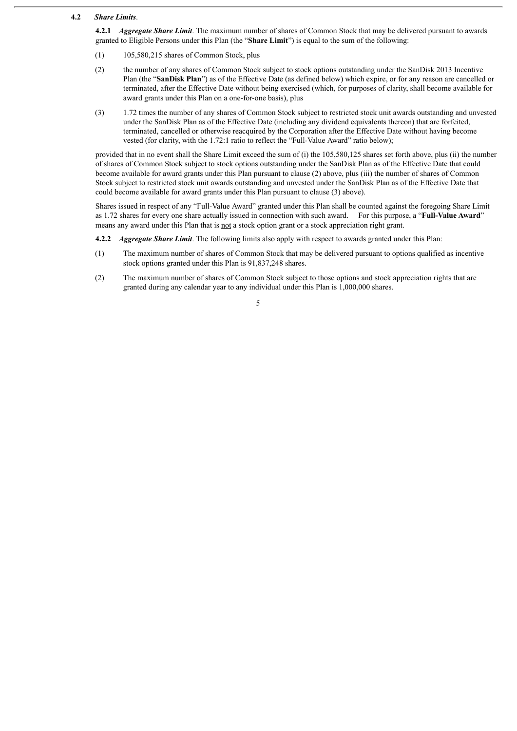#### **4.2** *Share Limits*.

**4.2.1** *Aggregate Share Limit*. The maximum number of shares of Common Stock that may be delivered pursuant to awards granted to Eligible Persons under this Plan (the "**Share Limit**") is equal to the sum of the following:

- (1) 105,580,215 shares of Common Stock, plus
- (2) the number of any shares of Common Stock subject to stock options outstanding under the SanDisk 2013 Incentive Plan (the "**SanDisk Plan**") as of the Effective Date (as defined below) which expire, or for any reason are cancelled or terminated, after the Effective Date without being exercised (which, for purposes of clarity, shall become available for award grants under this Plan on a one-for-one basis), plus
- (3) 1.72 times the number of any shares of Common Stock subject to restricted stock unit awards outstanding and unvested under the SanDisk Plan as of the Effective Date (including any dividend equivalents thereon) that are forfeited, terminated, cancelled or otherwise reacquired by the Corporation after the Effective Date without having become vested (for clarity, with the 1.72:1 ratio to reflect the "Full-Value Award" ratio below);

provided that in no event shall the Share Limit exceed the sum of (i) the 105,580,125 shares set forth above, plus (ii) the number of shares of Common Stock subject to stock options outstanding under the SanDisk Plan as of the Effective Date that could become available for award grants under this Plan pursuant to clause (2) above, plus (iii) the number of shares of Common Stock subject to restricted stock unit awards outstanding and unvested under the SanDisk Plan as of the Effective Date that could become available for award grants under this Plan pursuant to clause (3) above).

Shares issued in respect of any "Full-Value Award" granted under this Plan shall be counted against the foregoing Share Limit as 1.72 shares for every one share actually issued in connection with such award. For this purpose, a "**Full-Value Award**" means any award under this Plan that is not a stock option grant or a stock appreciation right grant.

**4.2.2** *Aggregate Share Limit*. The following limits also apply with respect to awards granted under this Plan:

- (1) The maximum number of shares of Common Stock that may be delivered pursuant to options qualified as incentive stock options granted under this Plan is 91,837,248 shares.
- (2) The maximum number of shares of Common Stock subject to those options and stock appreciation rights that are granted during any calendar year to any individual under this Plan is 1,000,000 shares.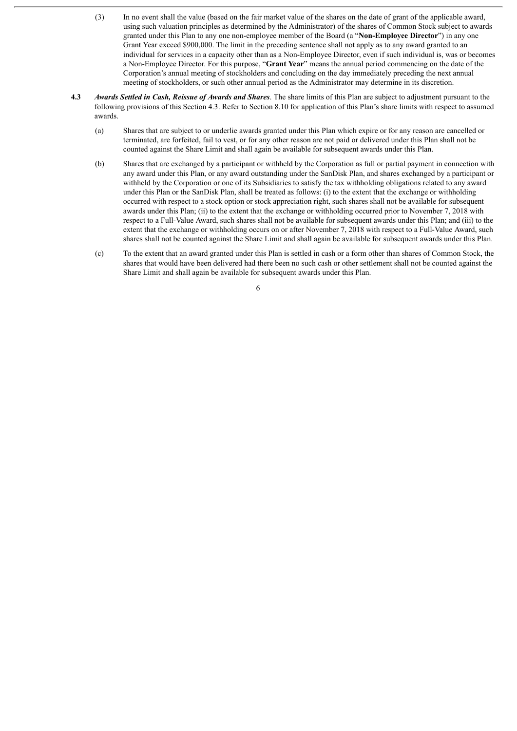- (3) In no event shall the value (based on the fair market value of the shares on the date of grant of the applicable award, using such valuation principles as determined by the Administrator) of the shares of Common Stock subject to awards granted under this Plan to any one non-employee member of the Board (a "**Non-Employee Director**") in any one Grant Year exceed \$900,000. The limit in the preceding sentence shall not apply as to any award granted to an individual for services in a capacity other than as a Non-Employee Director, even if such individual is, was or becomes a Non-Employee Director. For this purpose, "**Grant Year**" means the annual period commencing on the date of the Corporation's annual meeting of stockholders and concluding on the day immediately preceding the next annual meeting of stockholders, or such other annual period as the Administrator may determine in its discretion.
- **4.3** *Awards Settled in Cash, Reissue of Awards and Shares*. The share limits of this Plan are subject to adjustment pursuant to the following provisions of this Section 4.3. Refer to Section 8.10 for application of this Plan's share limits with respect to assumed awards.
	- (a) Shares that are subject to or underlie awards granted under this Plan which expire or for any reason are cancelled or terminated, are forfeited, fail to vest, or for any other reason are not paid or delivered under this Plan shall not be counted against the Share Limit and shall again be available for subsequent awards under this Plan.
	- (b) Shares that are exchanged by a participant or withheld by the Corporation as full or partial payment in connection with any award under this Plan, or any award outstanding under the SanDisk Plan, and shares exchanged by a participant or withheld by the Corporation or one of its Subsidiaries to satisfy the tax withholding obligations related to any award under this Plan or the SanDisk Plan, shall be treated as follows: (i) to the extent that the exchange or withholding occurred with respect to a stock option or stock appreciation right, such shares shall not be available for subsequent awards under this Plan; (ii) to the extent that the exchange or withholding occurred prior to November 7, 2018 with respect to a Full-Value Award, such shares shall not be available for subsequent awards under this Plan; and (iii) to the extent that the exchange or withholding occurs on or after November 7, 2018 with respect to a Full-Value Award, such shares shall not be counted against the Share Limit and shall again be available for subsequent awards under this Plan.
	- (c) To the extent that an award granted under this Plan is settled in cash or a form other than shares of Common Stock, the shares that would have been delivered had there been no such cash or other settlement shall not be counted against the Share Limit and shall again be available for subsequent awards under this Plan.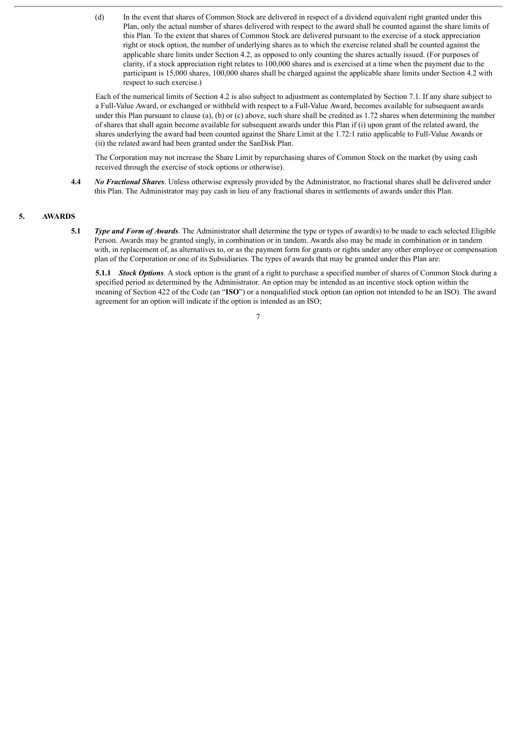(d) In the event that shares of Common Stock are delivered in respect of a dividend equivalent right granted under this Plan, only the actual number of shares delivered with respect to the award shall be counted against the share limits of this Plan. To the extent that shares of Common Stock are delivered pursuant to the exercise of a stock appreciation right or stock option, the number of underlying shares as to which the exercise related shall be counted against the applicable share limits under Section 4.2, as opposed to only counting the shares actually issued. (For purposes of clarity, if a stock appreciation right relates to 100,000 shares and is exercised at a time when the payment due to the participant is 15,000 shares, 100,000 shares shall be charged against the applicable share limits under Section 4.2 with respect to such exercise.)

Each of the numerical limits of Section 4.2 is also subject to adjustment as contemplated by Section 7.1. If any share subject to a Full-Value Award, or exchanged or withheld with respect to a Full-Value Award, becomes available for subsequent awards under this Plan pursuant to clause (a), (b) or (c) above, such share shall be credited as 1.72 shares when determining the number of shares that shall again become available for subsequent awards under this Plan if (i) upon grant of the related award, the shares underlying the award had been counted against the Share Limit at the 1.72:1 ratio applicable to Full-Value Awards or (ii) the related award had been granted under the SanDisk Plan.

The Corporation may not increase the Share Limit by repurchasing shares of Common Stock on the market (by using cash received through the exercise of stock options or otherwise).

**4.4** *No Fractional Shares*. Unless otherwise expressly provided by the Administrator, no fractional shares shall be delivered under this Plan. The Administrator may pay cash in lieu of any fractional shares in settlements of awards under this Plan.

#### **5. AWARDS**

**5.1** *Type and Form of Awards*. The Administrator shall determine the type or types of award(s) to be made to each selected Eligible Person. Awards may be granted singly, in combination or in tandem. Awards also may be made in combination or in tandem with, in replacement of, as alternatives to, or as the payment form for grants or rights under any other employee or compensation plan of the Corporation or one of its Subsidiaries. The types of awards that may be granted under this Plan are:

**5.1.1** *Stock Options*. A stock option is the grant of a right to purchase a specified number of shares of Common Stock during a specified period as determined by the Administrator. An option may be intended as an incentive stock option within the meaning of Section 422 of the Code (an "**ISO**") or a nonqualified stock option (an option not intended to be an ISO). The award agreement for an option will indicate if the option is intended as an ISO;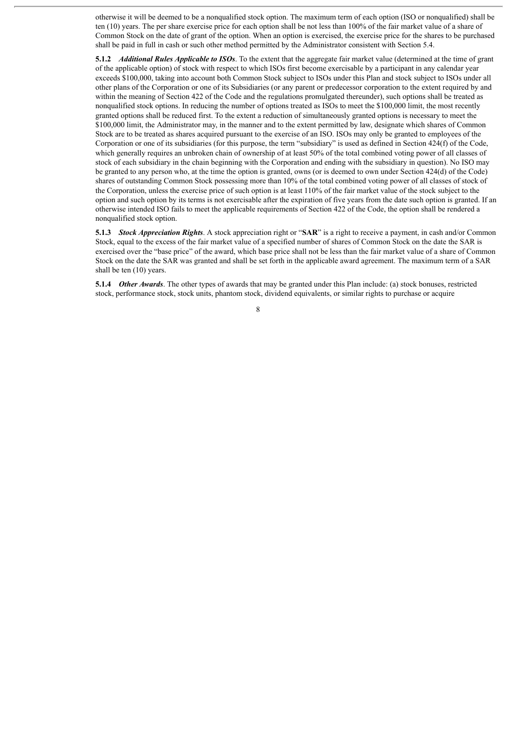otherwise it will be deemed to be a nonqualified stock option. The maximum term of each option (ISO or nonqualified) shall be ten (10) years. The per share exercise price for each option shall be not less than 100% of the fair market value of a share of Common Stock on the date of grant of the option. When an option is exercised, the exercise price for the shares to be purchased shall be paid in full in cash or such other method permitted by the Administrator consistent with Section 5.4.

**5.1.2** *Additional Rules Applicable to ISOs*. To the extent that the aggregate fair market value (determined at the time of grant of the applicable option) of stock with respect to which ISOs first become exercisable by a participant in any calendar year exceeds \$100,000, taking into account both Common Stock subject to ISOs under this Plan and stock subject to ISOs under all other plans of the Corporation or one of its Subsidiaries (or any parent or predecessor corporation to the extent required by and within the meaning of Section 422 of the Code and the regulations promulgated thereunder), such options shall be treated as nonqualified stock options. In reducing the number of options treated as ISOs to meet the \$100,000 limit, the most recently granted options shall be reduced first. To the extent a reduction of simultaneously granted options is necessary to meet the \$100,000 limit, the Administrator may, in the manner and to the extent permitted by law, designate which shares of Common Stock are to be treated as shares acquired pursuant to the exercise of an ISO. ISOs may only be granted to employees of the Corporation or one of its subsidiaries (for this purpose, the term "subsidiary" is used as defined in Section 424(f) of the Code, which generally requires an unbroken chain of ownership of at least 50% of the total combined voting power of all classes of stock of each subsidiary in the chain beginning with the Corporation and ending with the subsidiary in question). No ISO may be granted to any person who, at the time the option is granted, owns (or is deemed to own under Section 424(d) of the Code) shares of outstanding Common Stock possessing more than 10% of the total combined voting power of all classes of stock of the Corporation, unless the exercise price of such option is at least 110% of the fair market value of the stock subject to the option and such option by its terms is not exercisable after the expiration of five years from the date such option is granted. If an otherwise intended ISO fails to meet the applicable requirements of Section 422 of the Code, the option shall be rendered a nonqualified stock option.

**5.1.3** *Stock Appreciation Rights*. A stock appreciation right or "**SAR**" is a right to receive a payment, in cash and/or Common Stock, equal to the excess of the fair market value of a specified number of shares of Common Stock on the date the SAR is exercised over the "base price" of the award, which base price shall not be less than the fair market value of a share of Common Stock on the date the SAR was granted and shall be set forth in the applicable award agreement. The maximum term of a SAR shall be ten (10) years.

**5.1.4** *Other Awards*. The other types of awards that may be granted under this Plan include: (a) stock bonuses, restricted stock, performance stock, stock units, phantom stock, dividend equivalents, or similar rights to purchase or acquire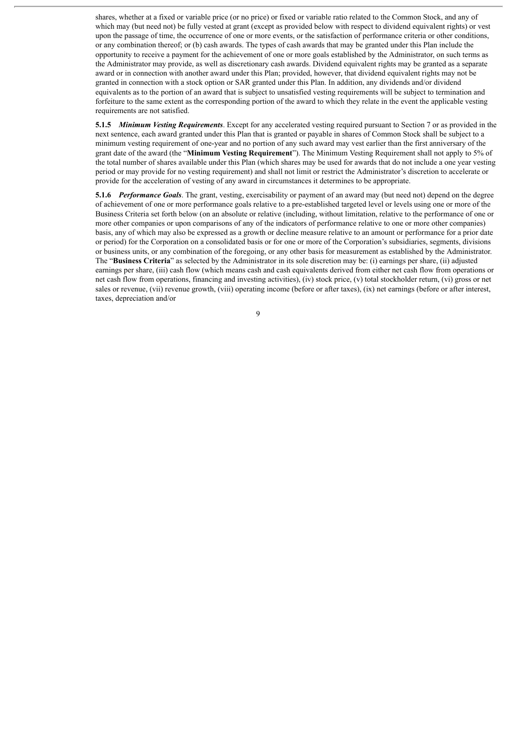shares, whether at a fixed or variable price (or no price) or fixed or variable ratio related to the Common Stock, and any of which may (but need not) be fully vested at grant (except as provided below with respect to dividend equivalent rights) or vest upon the passage of time, the occurrence of one or more events, or the satisfaction of performance criteria or other conditions, or any combination thereof; or (b) cash awards. The types of cash awards that may be granted under this Plan include the opportunity to receive a payment for the achievement of one or more goals established by the Administrator, on such terms as the Administrator may provide, as well as discretionary cash awards. Dividend equivalent rights may be granted as a separate award or in connection with another award under this Plan; provided, however, that dividend equivalent rights may not be granted in connection with a stock option or SAR granted under this Plan. In addition, any dividends and/or dividend equivalents as to the portion of an award that is subject to unsatisfied vesting requirements will be subject to termination and forfeiture to the same extent as the corresponding portion of the award to which they relate in the event the applicable vesting requirements are not satisfied.

**5.1.5** *Minimum Vesting Requirements*. Except for any accelerated vesting required pursuant to Section 7 or as provided in the next sentence, each award granted under this Plan that is granted or payable in shares of Common Stock shall be subject to a minimum vesting requirement of one-year and no portion of any such award may vest earlier than the first anniversary of the grant date of the award (the "**Minimum Vesting Requirement**"). The Minimum Vesting Requirement shall not apply to 5% of the total number of shares available under this Plan (which shares may be used for awards that do not include a one year vesting period or may provide for no vesting requirement) and shall not limit or restrict the Administrator's discretion to accelerate or provide for the acceleration of vesting of any award in circumstances it determines to be appropriate.

**5.1.6** *Performance Goals*. The grant, vesting, exercisability or payment of an award may (but need not) depend on the degree of achievement of one or more performance goals relative to a pre-established targeted level or levels using one or more of the Business Criteria set forth below (on an absolute or relative (including, without limitation, relative to the performance of one or more other companies or upon comparisons of any of the indicators of performance relative to one or more other companies) basis, any of which may also be expressed as a growth or decline measure relative to an amount or performance for a prior date or period) for the Corporation on a consolidated basis or for one or more of the Corporation's subsidiaries, segments, divisions or business units, or any combination of the foregoing, or any other basis for measurement as established by the Administrator. The "**Business Criteria**" as selected by the Administrator in its sole discretion may be: (i) earnings per share, (ii) adjusted earnings per share, (iii) cash flow (which means cash and cash equivalents derived from either net cash flow from operations or net cash flow from operations, financing and investing activities), (iv) stock price, (v) total stockholder return, (vi) gross or net sales or revenue, (vii) revenue growth, (viii) operating income (before or after taxes), (ix) net earnings (before or after interest, taxes, depreciation and/or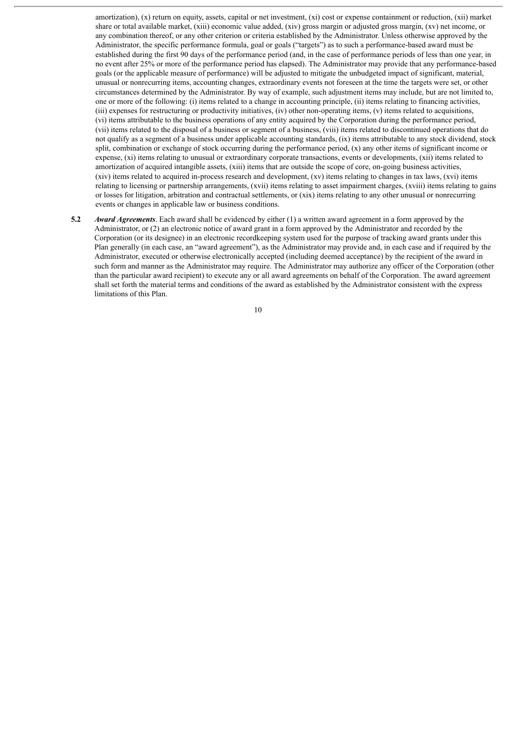amortization), (x) return on equity, assets, capital or net investment, (xi) cost or expense containment or reduction, (xii) market share or total available market, (xiii) economic value added, (xiv) gross margin or adjusted gross margin, (xv) net income, or any combination thereof, or any other criterion or criteria established by the Administrator. Unless otherwise approved by the Administrator, the specific performance formula, goal or goals ("targets") as to such a performance-based award must be established during the first 90 days of the performance period (and, in the case of performance periods of less than one year, in no event after 25% or more of the performance period has elapsed). The Administrator may provide that any performance-based goals (or the applicable measure of performance) will be adjusted to mitigate the unbudgeted impact of significant, material, unusual or nonrecurring items, accounting changes, extraordinary events not foreseen at the time the targets were set, or other circumstances determined by the Administrator. By way of example, such adjustment items may include, but are not limited to, one or more of the following: (i) items related to a change in accounting principle, (ii) items relating to financing activities, (iii) expenses for restructuring or productivity initiatives, (iv) other non-operating items, (v) items related to acquisitions, (vi) items attributable to the business operations of any entity acquired by the Corporation during the performance period, (vii) items related to the disposal of a business or segment of a business, (viii) items related to discontinued operations that do not qualify as a segment of a business under applicable accounting standards, (ix) items attributable to any stock dividend, stock split, combination or exchange of stock occurring during the performance period, (x) any other items of significant income or expense, (xi) items relating to unusual or extraordinary corporate transactions, events or developments, (xii) items related to amortization of acquired intangible assets, (xiii) items that are outside the scope of core, on-going business activities, (xiv) items related to acquired in-process research and development, (xv) items relating to changes in tax laws, (xvi) items relating to licensing or partnership arrangements, (xvii) items relating to asset impairment charges, (xviii) items relating to gains or losses for litigation, arbitration and contractual settlements, or (xix) items relating to any other unusual or nonrecurring events or changes in applicable law or business conditions.

**5.2** *Award Agreements*. Each award shall be evidenced by either (1) a written award agreement in a form approved by the Administrator, or (2) an electronic notice of award grant in a form approved by the Administrator and recorded by the Corporation (or its designee) in an electronic recordkeeping system used for the purpose of tracking award grants under this Plan generally (in each case, an "award agreement"), as the Administrator may provide and, in each case and if required by the Administrator, executed or otherwise electronically accepted (including deemed acceptance) by the recipient of the award in such form and manner as the Administrator may require. The Administrator may authorize any officer of the Corporation (other than the particular award recipient) to execute any or all award agreements on behalf of the Corporation. The award agreement shall set forth the material terms and conditions of the award as established by the Administrator consistent with the express limitations of this Plan.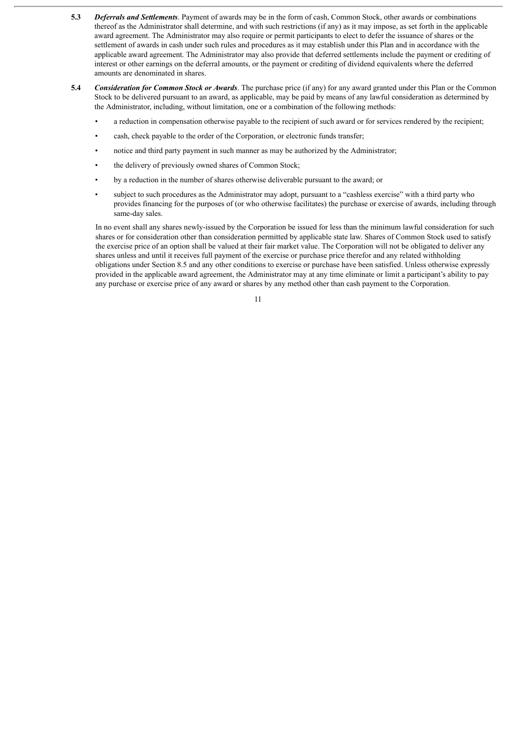- **5.3** *Deferrals and Settlements*. Payment of awards may be in the form of cash, Common Stock, other awards or combinations thereof as the Administrator shall determine, and with such restrictions (if any) as it may impose, as set forth in the applicable award agreement. The Administrator may also require or permit participants to elect to defer the issuance of shares or the settlement of awards in cash under such rules and procedures as it may establish under this Plan and in accordance with the applicable award agreement. The Administrator may also provide that deferred settlements include the payment or crediting of interest or other earnings on the deferral amounts, or the payment or crediting of dividend equivalents where the deferred amounts are denominated in shares.
- **5.4** *Consideration for Common Stock or Awards*. The purchase price (if any) for any award granted under this Plan or the Common Stock to be delivered pursuant to an award, as applicable, may be paid by means of any lawful consideration as determined by the Administrator, including, without limitation, one or a combination of the following methods:
	- a reduction in compensation otherwise payable to the recipient of such award or for services rendered by the recipient;
	- cash, check payable to the order of the Corporation, or electronic funds transfer;
	- notice and third party payment in such manner as may be authorized by the Administrator;
	- the delivery of previously owned shares of Common Stock;
	- by a reduction in the number of shares otherwise deliverable pursuant to the award; or
	- subject to such procedures as the Administrator may adopt, pursuant to a "cashless exercise" with a third party who provides financing for the purposes of (or who otherwise facilitates) the purchase or exercise of awards, including through same-day sales.

In no event shall any shares newly-issued by the Corporation be issued for less than the minimum lawful consideration for such shares or for consideration other than consideration permitted by applicable state law. Shares of Common Stock used to satisfy the exercise price of an option shall be valued at their fair market value. The Corporation will not be obligated to deliver any shares unless and until it receives full payment of the exercise or purchase price therefor and any related withholding obligations under Section 8.5 and any other conditions to exercise or purchase have been satisfied. Unless otherwise expressly provided in the applicable award agreement, the Administrator may at any time eliminate or limit a participant's ability to pay any purchase or exercise price of any award or shares by any method other than cash payment to the Corporation.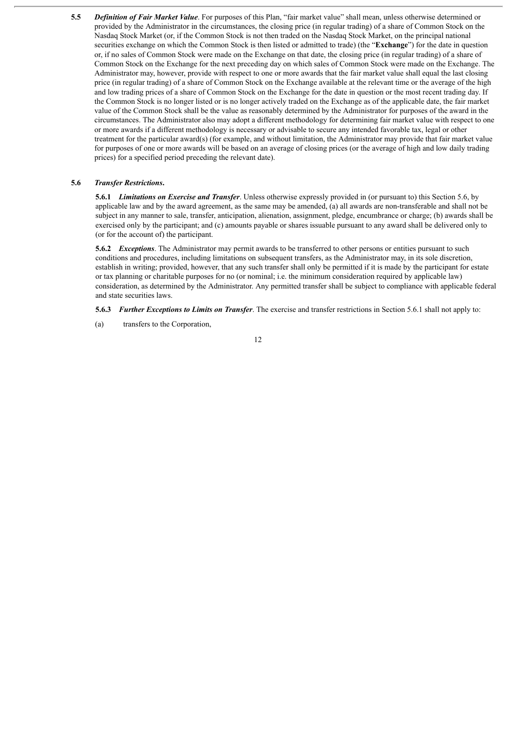**5.5** *Definition of Fair Market Value*. For purposes of this Plan, "fair market value" shall mean, unless otherwise determined or provided by the Administrator in the circumstances, the closing price (in regular trading) of a share of Common Stock on the Nasdaq Stock Market (or, if the Common Stock is not then traded on the Nasdaq Stock Market, on the principal national securities exchange on which the Common Stock is then listed or admitted to trade) (the "**Exchange**") for the date in question or, if no sales of Common Stock were made on the Exchange on that date, the closing price (in regular trading) of a share of Common Stock on the Exchange for the next preceding day on which sales of Common Stock were made on the Exchange. The Administrator may, however, provide with respect to one or more awards that the fair market value shall equal the last closing price (in regular trading) of a share of Common Stock on the Exchange available at the relevant time or the average of the high and low trading prices of a share of Common Stock on the Exchange for the date in question or the most recent trading day. If the Common Stock is no longer listed or is no longer actively traded on the Exchange as of the applicable date, the fair market value of the Common Stock shall be the value as reasonably determined by the Administrator for purposes of the award in the circumstances. The Administrator also may adopt a different methodology for determining fair market value with respect to one or more awards if a different methodology is necessary or advisable to secure any intended favorable tax, legal or other treatment for the particular award(s) (for example, and without limitation, the Administrator may provide that fair market value for purposes of one or more awards will be based on an average of closing prices (or the average of high and low daily trading prices) for a specified period preceding the relevant date).

#### **5.6** *Transfer Restrictions***.**

**5.6.1** *Limitations on Exercise and Transfer*. Unless otherwise expressly provided in (or pursuant to) this Section 5.6, by applicable law and by the award agreement, as the same may be amended, (a) all awards are non-transferable and shall not be subject in any manner to sale, transfer, anticipation, alienation, assignment, pledge, encumbrance or charge; (b) awards shall be exercised only by the participant; and (c) amounts payable or shares issuable pursuant to any award shall be delivered only to (or for the account of) the participant.

**5.6.2** *Exceptions*. The Administrator may permit awards to be transferred to other persons or entities pursuant to such conditions and procedures, including limitations on subsequent transfers, as the Administrator may, in its sole discretion, establish in writing; provided, however, that any such transfer shall only be permitted if it is made by the participant for estate or tax planning or charitable purposes for no (or nominal; i.e. the minimum consideration required by applicable law) consideration, as determined by the Administrator. Any permitted transfer shall be subject to compliance with applicable federal and state securities laws.

**5.6.3** *Further Exceptions to Limits on Transfer*. The exercise and transfer restrictions in Section 5.6.1 shall not apply to:

(a) transfers to the Corporation,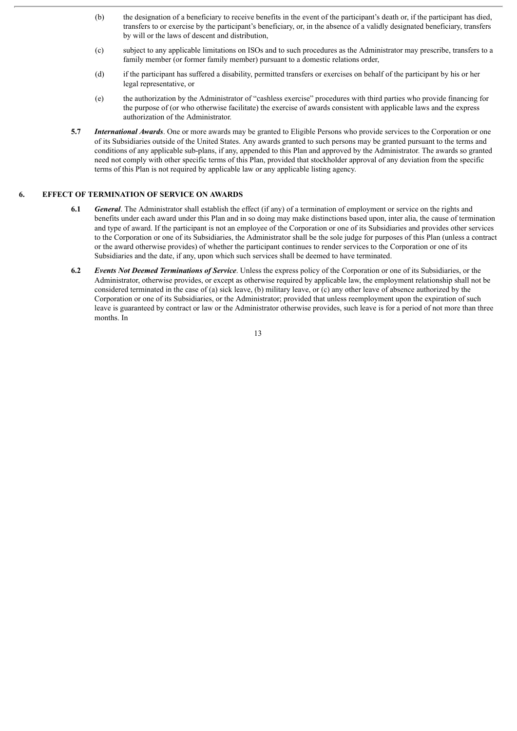- (b) the designation of a beneficiary to receive benefits in the event of the participant's death or, if the participant has died, transfers to or exercise by the participant's beneficiary, or, in the absence of a validly designated beneficiary, transfers by will or the laws of descent and distribution,
- (c) subject to any applicable limitations on ISOs and to such procedures as the Administrator may prescribe, transfers to a family member (or former family member) pursuant to a domestic relations order,
- (d) if the participant has suffered a disability, permitted transfers or exercises on behalf of the participant by his or her legal representative, or
- (e) the authorization by the Administrator of "cashless exercise" procedures with third parties who provide financing for the purpose of (or who otherwise facilitate) the exercise of awards consistent with applicable laws and the express authorization of the Administrator.
- **5.7** *International Awards*. One or more awards may be granted to Eligible Persons who provide services to the Corporation or one of its Subsidiaries outside of the United States. Any awards granted to such persons may be granted pursuant to the terms and conditions of any applicable sub-plans, if any, appended to this Plan and approved by the Administrator. The awards so granted need not comply with other specific terms of this Plan, provided that stockholder approval of any deviation from the specific terms of this Plan is not required by applicable law or any applicable listing agency.

#### **6. EFFECT OF TERMINATION OF SERVICE ON AWARDS**

- **6.1** *General*. The Administrator shall establish the effect (if any) of a termination of employment or service on the rights and benefits under each award under this Plan and in so doing may make distinctions based upon, inter alia, the cause of termination and type of award. If the participant is not an employee of the Corporation or one of its Subsidiaries and provides other services to the Corporation or one of its Subsidiaries, the Administrator shall be the sole judge for purposes of this Plan (unless a contract or the award otherwise provides) of whether the participant continues to render services to the Corporation or one of its Subsidiaries and the date, if any, upon which such services shall be deemed to have terminated.
- **6.2** *Events Not Deemed Terminations of Service*. Unless the express policy of the Corporation or one of its Subsidiaries, or the Administrator, otherwise provides, or except as otherwise required by applicable law, the employment relationship shall not be considered terminated in the case of (a) sick leave, (b) military leave, or (c) any other leave of absence authorized by the Corporation or one of its Subsidiaries, or the Administrator; provided that unless reemployment upon the expiration of such leave is guaranteed by contract or law or the Administrator otherwise provides, such leave is for a period of not more than three months. In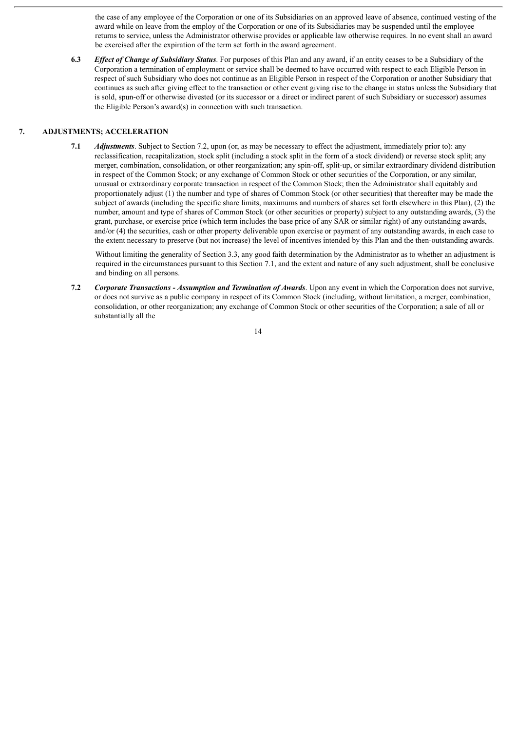the case of any employee of the Corporation or one of its Subsidiaries on an approved leave of absence, continued vesting of the award while on leave from the employ of the Corporation or one of its Subsidiaries may be suspended until the employee returns to service, unless the Administrator otherwise provides or applicable law otherwise requires. In no event shall an award be exercised after the expiration of the term set forth in the award agreement.

**6.3** *Ef ect of Change of Subsidiary Status*. For purposes of this Plan and any award, if an entity ceases to be a Subsidiary of the Corporation a termination of employment or service shall be deemed to have occurred with respect to each Eligible Person in respect of such Subsidiary who does not continue as an Eligible Person in respect of the Corporation or another Subsidiary that continues as such after giving effect to the transaction or other event giving rise to the change in status unless the Subsidiary that is sold, spun-off or otherwise divested (or its successor or a direct or indirect parent of such Subsidiary or successor) assumes the Eligible Person's award(s) in connection with such transaction.

#### **7. ADJUSTMENTS; ACCELERATION**

**7.1** *Adjustments*. Subject to Section 7.2, upon (or, as may be necessary to effect the adjustment, immediately prior to): any reclassification, recapitalization, stock split (including a stock split in the form of a stock dividend) or reverse stock split; any merger, combination, consolidation, or other reorganization; any spin-off, split-up, or similar extraordinary dividend distribution in respect of the Common Stock; or any exchange of Common Stock or other securities of the Corporation, or any similar, unusual or extraordinary corporate transaction in respect of the Common Stock; then the Administrator shall equitably and proportionately adjust (1) the number and type of shares of Common Stock (or other securities) that thereafter may be made the subject of awards (including the specific share limits, maximums and numbers of shares set forth elsewhere in this Plan), (2) the number, amount and type of shares of Common Stock (or other securities or property) subject to any outstanding awards, (3) the grant, purchase, or exercise price (which term includes the base price of any SAR or similar right) of any outstanding awards, and/or (4) the securities, cash or other property deliverable upon exercise or payment of any outstanding awards, in each case to the extent necessary to preserve (but not increase) the level of incentives intended by this Plan and the then-outstanding awards.

Without limiting the generality of Section 3.3, any good faith determination by the Administrator as to whether an adjustment is required in the circumstances pursuant to this Section 7.1, and the extent and nature of any such adjustment, shall be conclusive and binding on all persons.

**7.2** *Corporate Transactions - Assumption and Termination of Awards*. Upon any event in which the Corporation does not survive, or does not survive as a public company in respect of its Common Stock (including, without limitation, a merger, combination, consolidation, or other reorganization; any exchange of Common Stock or other securities of the Corporation; a sale of all or substantially all the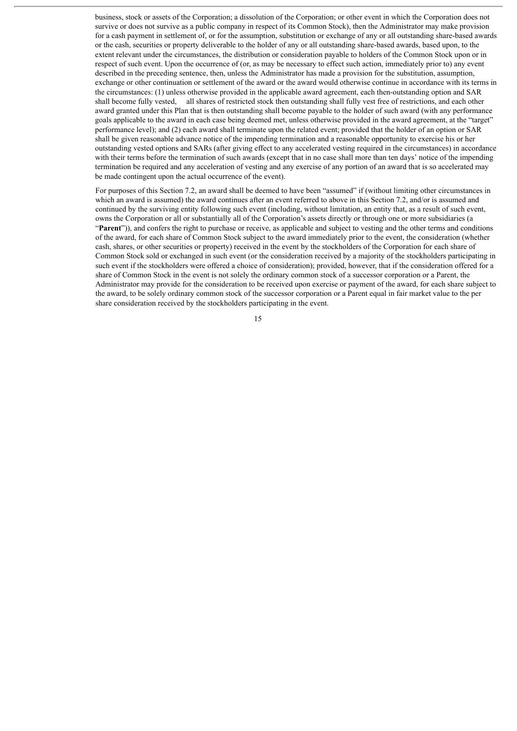business, stock or assets of the Corporation; a dissolution of the Corporation; or other event in which the Corporation does not survive or does not survive as a public company in respect of its Common Stock), then the Administrator may make provision for a cash payment in settlement of, or for the assumption, substitution or exchange of any or all outstanding share-based awards or the cash, securities or property deliverable to the holder of any or all outstanding share-based awards, based upon, to the extent relevant under the circumstances, the distribution or consideration payable to holders of the Common Stock upon or in respect of such event. Upon the occurrence of (or, as may be necessary to effect such action, immediately prior to) any event described in the preceding sentence, then, unless the Administrator has made a provision for the substitution, assumption, exchange or other continuation or settlement of the award or the award would otherwise continue in accordance with its terms in the circumstances: (1) unless otherwise provided in the applicable award agreement, each then-outstanding option and SAR shall become fully vested, all shares of restricted stock then outstanding shall fully vest free of restrictions, and each other award granted under this Plan that is then outstanding shall become payable to the holder of such award (with any performance goals applicable to the award in each case being deemed met, unless otherwise provided in the award agreement, at the "target" performance level); and (2) each award shall terminate upon the related event; provided that the holder of an option or SAR shall be given reasonable advance notice of the impending termination and a reasonable opportunity to exercise his or her outstanding vested options and SARs (after giving effect to any accelerated vesting required in the circumstances) in accordance with their terms before the termination of such awards (except that in no case shall more than ten days' notice of the impending termination be required and any acceleration of vesting and any exercise of any portion of an award that is so accelerated may be made contingent upon the actual occurrence of the event).

For purposes of this Section 7.2, an award shall be deemed to have been "assumed" if (without limiting other circumstances in which an award is assumed) the award continues after an event referred to above in this Section 7.2, and/or is assumed and continued by the surviving entity following such event (including, without limitation, an entity that, as a result of such event, owns the Corporation or all or substantially all of the Corporation's assets directly or through one or more subsidiaries (a "**Parent**")), and confers the right to purchase or receive, as applicable and subject to vesting and the other terms and conditions of the award, for each share of Common Stock subject to the award immediately prior to the event, the consideration (whether cash, shares, or other securities or property) received in the event by the stockholders of the Corporation for each share of Common Stock sold or exchanged in such event (or the consideration received by a majority of the stockholders participating in such event if the stockholders were offered a choice of consideration); provided, however, that if the consideration offered for a share of Common Stock in the event is not solely the ordinary common stock of a successor corporation or a Parent, the Administrator may provide for the consideration to be received upon exercise or payment of the award, for each share subject to the award, to be solely ordinary common stock of the successor corporation or a Parent equal in fair market value to the per share consideration received by the stockholders participating in the event.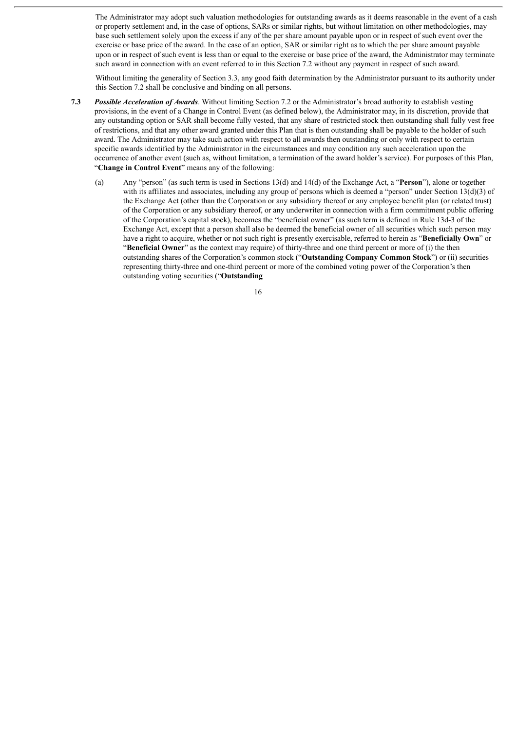The Administrator may adopt such valuation methodologies for outstanding awards as it deems reasonable in the event of a cash or property settlement and, in the case of options, SARs or similar rights, but without limitation on other methodologies, may base such settlement solely upon the excess if any of the per share amount payable upon or in respect of such event over the exercise or base price of the award. In the case of an option, SAR or similar right as to which the per share amount payable upon or in respect of such event is less than or equal to the exercise or base price of the award, the Administrator may terminate such award in connection with an event referred to in this Section 7.2 without any payment in respect of such award.

Without limiting the generality of Section 3.3, any good faith determination by the Administrator pursuant to its authority under this Section 7.2 shall be conclusive and binding on all persons.

- **7.3** *Possible Acceleration of Awards*. Without limiting Section 7.2 or the Administrator's broad authority to establish vesting provisions, in the event of a Change in Control Event (as defined below), the Administrator may, in its discretion, provide that any outstanding option or SAR shall become fully vested, that any share of restricted stock then outstanding shall fully vest free of restrictions, and that any other award granted under this Plan that is then outstanding shall be payable to the holder of such award. The Administrator may take such action with respect to all awards then outstanding or only with respect to certain specific awards identified by the Administrator in the circumstances and may condition any such acceleration upon the occurrence of another event (such as, without limitation, a termination of the award holder's service). For purposes of this Plan, "**Change in Control Event**" means any of the following:
	- (a) Any "person" (as such term is used in Sections 13(d) and 14(d) of the Exchange Act, a "**Person**"), alone or together with its affiliates and associates, including any group of persons which is deemed a "person" under Section 13(d)(3) of the Exchange Act (other than the Corporation or any subsidiary thereof or any employee benefit plan (or related trust) of the Corporation or any subsidiary thereof, or any underwriter in connection with a firm commitment public offering of the Corporation's capital stock), becomes the "beneficial owner" (as such term is defined in Rule 13d-3 of the Exchange Act, except that a person shall also be deemed the beneficial owner of all securities which such person may have a right to acquire, whether or not such right is presently exercisable, referred to herein as "**Beneficially Own**" or "**Beneficial Owner**" as the context may require) of thirty-three and one third percent or more of (i) the then outstanding shares of the Corporation's common stock ("**Outstanding Company Common Stock**") or (ii) securities representing thirty-three and one-third percent or more of the combined voting power of the Corporation's then outstanding voting securities ("**Outstanding**

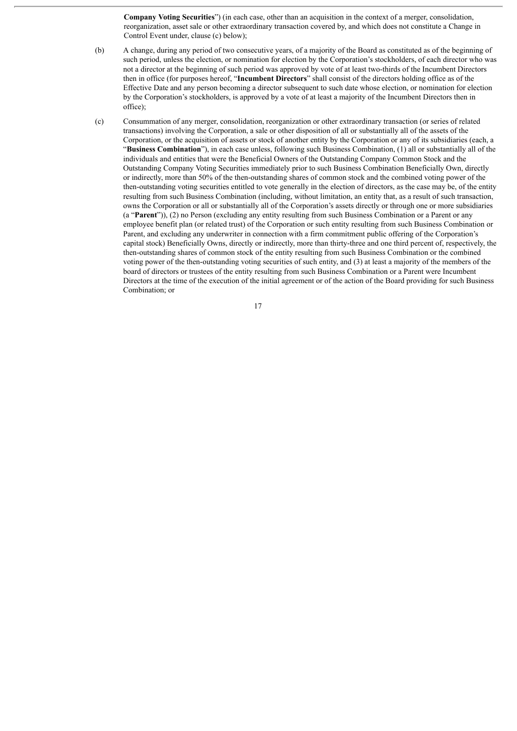**Company Voting Securities**") (in each case, other than an acquisition in the context of a merger, consolidation, reorganization, asset sale or other extraordinary transaction covered by, and which does not constitute a Change in Control Event under, clause (c) below);

- (b) A change, during any period of two consecutive years, of a majority of the Board as constituted as of the beginning of such period, unless the election, or nomination for election by the Corporation's stockholders, of each director who was not a director at the beginning of such period was approved by vote of at least two-thirds of the Incumbent Directors then in office (for purposes hereof, "**Incumbent Directors**" shall consist of the directors holding office as of the Effective Date and any person becoming a director subsequent to such date whose election, or nomination for election by the Corporation's stockholders, is approved by a vote of at least a majority of the Incumbent Directors then in office);
- (c) Consummation of any merger, consolidation, reorganization or other extraordinary transaction (or series of related transactions) involving the Corporation, a sale or other disposition of all or substantially all of the assets of the Corporation, or the acquisition of assets or stock of another entity by the Corporation or any of its subsidiaries (each, a "**Business Combination**"), in each case unless, following such Business Combination, (1) all or substantially all of the individuals and entities that were the Beneficial Owners of the Outstanding Company Common Stock and the Outstanding Company Voting Securities immediately prior to such Business Combination Beneficially Own, directly or indirectly, more than 50% of the then-outstanding shares of common stock and the combined voting power of the then-outstanding voting securities entitled to vote generally in the election of directors, as the case may be, of the entity resulting from such Business Combination (including, without limitation, an entity that, as a result of such transaction, owns the Corporation or all or substantially all of the Corporation's assets directly or through one or more subsidiaries (a "**Parent**")), (2) no Person (excluding any entity resulting from such Business Combination or a Parent or any employee benefit plan (or related trust) of the Corporation or such entity resulting from such Business Combination or Parent, and excluding any underwriter in connection with a firm commitment public offering of the Corporation's capital stock) Beneficially Owns, directly or indirectly, more than thirty-three and one third percent of, respectively, the then-outstanding shares of common stock of the entity resulting from such Business Combination or the combined voting power of the then-outstanding voting securities of such entity, and (3) at least a majority of the members of the board of directors or trustees of the entity resulting from such Business Combination or a Parent were Incumbent Directors at the time of the execution of the initial agreement or of the action of the Board providing for such Business Combination; or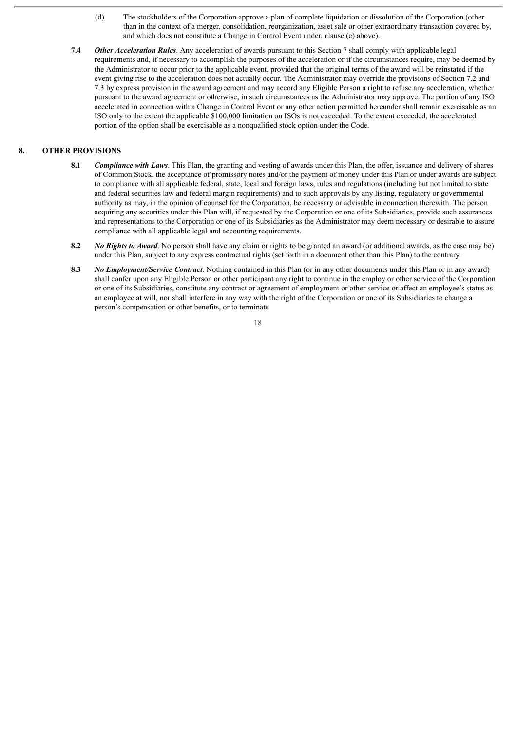- (d) The stockholders of the Corporation approve a plan of complete liquidation or dissolution of the Corporation (other than in the context of a merger, consolidation, reorganization, asset sale or other extraordinary transaction covered by, and which does not constitute a Change in Control Event under, clause (c) above).
- **7.4** *Other Acceleration Rules*. Any acceleration of awards pursuant to this Section 7 shall comply with applicable legal requirements and, if necessary to accomplish the purposes of the acceleration or if the circumstances require, may be deemed by the Administrator to occur prior to the applicable event, provided that the original terms of the award will be reinstated if the event giving rise to the acceleration does not actually occur. The Administrator may override the provisions of Section 7.2 and 7.3 by express provision in the award agreement and may accord any Eligible Person a right to refuse any acceleration, whether pursuant to the award agreement or otherwise, in such circumstances as the Administrator may approve. The portion of any ISO accelerated in connection with a Change in Control Event or any other action permitted hereunder shall remain exercisable as an ISO only to the extent the applicable \$100,000 limitation on ISOs is not exceeded. To the extent exceeded, the accelerated portion of the option shall be exercisable as a nonqualified stock option under the Code.

#### **8. OTHER PROVISIONS**

- **8.1** *Compliance with Laws*. This Plan, the granting and vesting of awards under this Plan, the offer, issuance and delivery of shares of Common Stock, the acceptance of promissory notes and/or the payment of money under this Plan or under awards are subject to compliance with all applicable federal, state, local and foreign laws, rules and regulations (including but not limited to state and federal securities law and federal margin requirements) and to such approvals by any listing, regulatory or governmental authority as may, in the opinion of counsel for the Corporation, be necessary or advisable in connection therewith. The person acquiring any securities under this Plan will, if requested by the Corporation or one of its Subsidiaries, provide such assurances and representations to the Corporation or one of its Subsidiaries as the Administrator may deem necessary or desirable to assure compliance with all applicable legal and accounting requirements.
- **8.2** *No Rights to Award*. No person shall have any claim or rights to be granted an award (or additional awards, as the case may be) under this Plan, subject to any express contractual rights (set forth in a document other than this Plan) to the contrary.
- **8.3** *No Employment/Service Contract*. Nothing contained in this Plan (or in any other documents under this Plan or in any award) shall confer upon any Eligible Person or other participant any right to continue in the employ or other service of the Corporation or one of its Subsidiaries, constitute any contract or agreement of employment or other service or affect an employee's status as an employee at will, nor shall interfere in any way with the right of the Corporation or one of its Subsidiaries to change a person's compensation or other benefits, or to terminate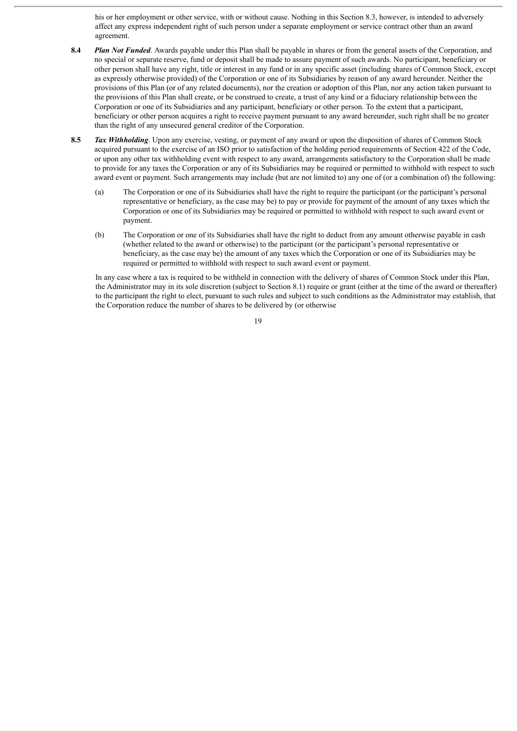his or her employment or other service, with or without cause. Nothing in this Section 8.3, however, is intended to adversely affect any express independent right of such person under a separate employment or service contract other than an award agreement.

- **8.4** *Plan Not Funded*. Awards payable under this Plan shall be payable in shares or from the general assets of the Corporation, and no special or separate reserve, fund or deposit shall be made to assure payment of such awards. No participant, beneficiary or other person shall have any right, title or interest in any fund or in any specific asset (including shares of Common Stock, except as expressly otherwise provided) of the Corporation or one of its Subsidiaries by reason of any award hereunder. Neither the provisions of this Plan (or of any related documents), nor the creation or adoption of this Plan, nor any action taken pursuant to the provisions of this Plan shall create, or be construed to create, a trust of any kind or a fiduciary relationship between the Corporation or one of its Subsidiaries and any participant, beneficiary or other person. To the extent that a participant, beneficiary or other person acquires a right to receive payment pursuant to any award hereunder, such right shall be no greater than the right of any unsecured general creditor of the Corporation.
- **8.5** *Tax Withholding*. Upon any exercise, vesting, or payment of any award or upon the disposition of shares of Common Stock acquired pursuant to the exercise of an ISO prior to satisfaction of the holding period requirements of Section 422 of the Code, or upon any other tax withholding event with respect to any award, arrangements satisfactory to the Corporation shall be made to provide for any taxes the Corporation or any of its Subsidiaries may be required or permitted to withhold with respect to such award event or payment. Such arrangements may include (but are not limited to) any one of (or a combination of) the following:
	- (a) The Corporation or one of its Subsidiaries shall have the right to require the participant (or the participant's personal representative or beneficiary, as the case may be) to pay or provide for payment of the amount of any taxes which the Corporation or one of its Subsidiaries may be required or permitted to withhold with respect to such award event or payment.
	- (b) The Corporation or one of its Subsidiaries shall have the right to deduct from any amount otherwise payable in cash (whether related to the award or otherwise) to the participant (or the participant's personal representative or beneficiary, as the case may be) the amount of any taxes which the Corporation or one of its Subsidiaries may be required or permitted to withhold with respect to such award event or payment.

In any case where a tax is required to be withheld in connection with the delivery of shares of Common Stock under this Plan, the Administrator may in its sole discretion (subject to Section 8.1) require or grant (either at the time of the award or thereafter) to the participant the right to elect, pursuant to such rules and subject to such conditions as the Administrator may establish, that the Corporation reduce the number of shares to be delivered by (or otherwise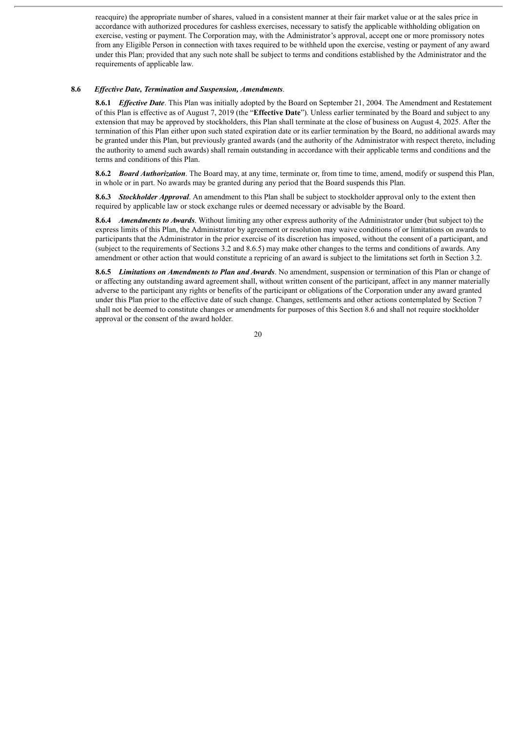reacquire) the appropriate number of shares, valued in a consistent manner at their fair market value or at the sales price in accordance with authorized procedures for cashless exercises, necessary to satisfy the applicable withholding obligation on exercise, vesting or payment. The Corporation may, with the Administrator's approval, accept one or more promissory notes from any Eligible Person in connection with taxes required to be withheld upon the exercise, vesting or payment of any award under this Plan; provided that any such note shall be subject to terms and conditions established by the Administrator and the requirements of applicable law.

#### **8.6** *Ef ective Date, Termination and Suspension, Amendments*.

**8.6.1** *Ef ective Date*. This Plan was initially adopted by the Board on September 21, 2004. The Amendment and Restatement of this Plan is effective as of August 7, 2019 (the "**Effective Date**"). Unless earlier terminated by the Board and subject to any extension that may be approved by stockholders, this Plan shall terminate at the close of business on August 4, 2025. After the termination of this Plan either upon such stated expiration date or its earlier termination by the Board, no additional awards may be granted under this Plan, but previously granted awards (and the authority of the Administrator with respect thereto, including the authority to amend such awards) shall remain outstanding in accordance with their applicable terms and conditions and the terms and conditions of this Plan.

**8.6.2** *Board Authorization*. The Board may, at any time, terminate or, from time to time, amend, modify or suspend this Plan, in whole or in part. No awards may be granted during any period that the Board suspends this Plan.

**8.6.3** *Stockholder Approval*. An amendment to this Plan shall be subject to stockholder approval only to the extent then required by applicable law or stock exchange rules or deemed necessary or advisable by the Board.

**8.6.4** *Amendments to Awards*. Without limiting any other express authority of the Administrator under (but subject to) the express limits of this Plan, the Administrator by agreement or resolution may waive conditions of or limitations on awards to participants that the Administrator in the prior exercise of its discretion has imposed, without the consent of a participant, and (subject to the requirements of Sections 3.2 and 8.6.5) may make other changes to the terms and conditions of awards. Any amendment or other action that would constitute a repricing of an award is subject to the limitations set forth in Section 3.2.

**8.6.5** *Limitations on Amendments to Plan and Awards*. No amendment, suspension or termination of this Plan or change of or affecting any outstanding award agreement shall, without written consent of the participant, affect in any manner materially adverse to the participant any rights or benefits of the participant or obligations of the Corporation under any award granted under this Plan prior to the effective date of such change. Changes, settlements and other actions contemplated by Section 7 shall not be deemed to constitute changes or amendments for purposes of this Section 8.6 and shall not require stockholder approval or the consent of the award holder.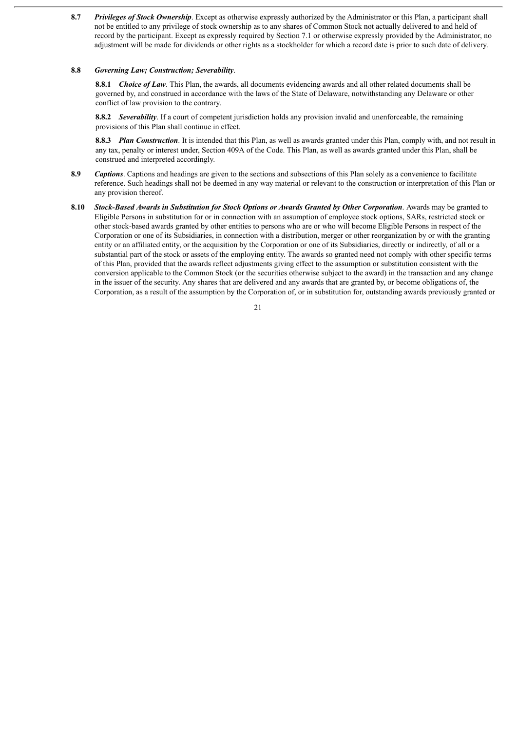**8.7** *Privileges of Stock Ownership*. Except as otherwise expressly authorized by the Administrator or this Plan, a participant shall not be entitled to any privilege of stock ownership as to any shares of Common Stock not actually delivered to and held of record by the participant. Except as expressly required by Section 7.1 or otherwise expressly provided by the Administrator, no adjustment will be made for dividends or other rights as a stockholder for which a record date is prior to such date of delivery.

#### **8.8** *Governing Law; Construction; Severability*.

**8.8.1** *Choice of Law*. This Plan, the awards, all documents evidencing awards and all other related documents shall be governed by, and construed in accordance with the laws of the State of Delaware, notwithstanding any Delaware or other conflict of law provision to the contrary.

**8.8.2** *Severability*. If a court of competent jurisdiction holds any provision invalid and unenforceable, the remaining provisions of this Plan shall continue in effect.

**8.8.3** *Plan Construction*. It is intended that this Plan, as well as awards granted under this Plan, comply with, and not result in any tax, penalty or interest under, Section 409A of the Code. This Plan, as well as awards granted under this Plan, shall be construed and interpreted accordingly.

- **8.9** *Captions*. Captions and headings are given to the sections and subsections of this Plan solely as a convenience to facilitate reference. Such headings shall not be deemed in any way material or relevant to the construction or interpretation of this Plan or any provision thereof.
- **8.10** *Stock-Based Awards in Substitution for Stock Options or Awards Granted by Other Corporation*. Awards may be granted to Eligible Persons in substitution for or in connection with an assumption of employee stock options, SARs, restricted stock or other stock-based awards granted by other entities to persons who are or who will become Eligible Persons in respect of the Corporation or one of its Subsidiaries, in connection with a distribution, merger or other reorganization by or with the granting entity or an affiliated entity, or the acquisition by the Corporation or one of its Subsidiaries, directly or indirectly, of all or a substantial part of the stock or assets of the employing entity. The awards so granted need not comply with other specific terms of this Plan, provided that the awards reflect adjustments giving effect to the assumption or substitution consistent with the conversion applicable to the Common Stock (or the securities otherwise subject to the award) in the transaction and any change in the issuer of the security. Any shares that are delivered and any awards that are granted by, or become obligations of, the Corporation, as a result of the assumption by the Corporation of, or in substitution for, outstanding awards previously granted or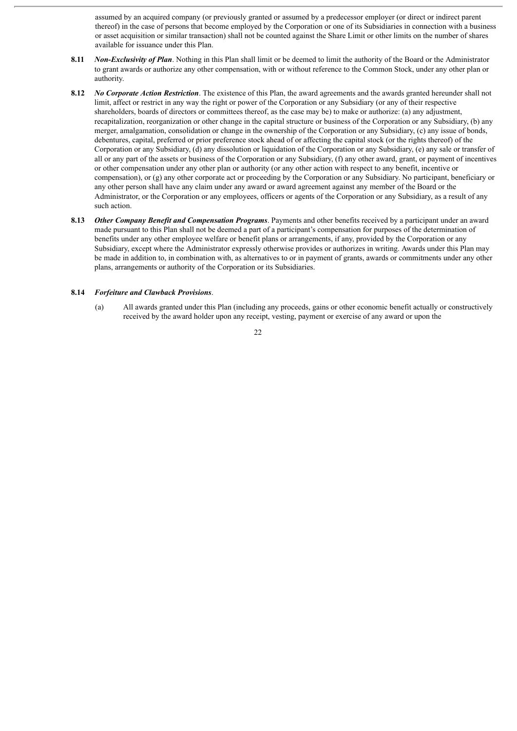assumed by an acquired company (or previously granted or assumed by a predecessor employer (or direct or indirect parent thereof) in the case of persons that become employed by the Corporation or one of its Subsidiaries in connection with a business or asset acquisition or similar transaction) shall not be counted against the Share Limit or other limits on the number of shares available for issuance under this Plan.

- **8.11** *Non-Exclusivity of Plan*. Nothing in this Plan shall limit or be deemed to limit the authority of the Board or the Administrator to grant awards or authorize any other compensation, with or without reference to the Common Stock, under any other plan or authority.
- **8.12** *No Corporate Action Restriction*. The existence of this Plan, the award agreements and the awards granted hereunder shall not limit, affect or restrict in any way the right or power of the Corporation or any Subsidiary (or any of their respective shareholders, boards of directors or committees thereof, as the case may be) to make or authorize: (a) any adjustment, recapitalization, reorganization or other change in the capital structure or business of the Corporation or any Subsidiary, (b) any merger, amalgamation, consolidation or change in the ownership of the Corporation or any Subsidiary, (c) any issue of bonds, debentures, capital, preferred or prior preference stock ahead of or affecting the capital stock (or the rights thereof) of the Corporation or any Subsidiary, (d) any dissolution or liquidation of the Corporation or any Subsidiary, (e) any sale or transfer of all or any part of the assets or business of the Corporation or any Subsidiary, (f) any other award, grant, or payment of incentives or other compensation under any other plan or authority (or any other action with respect to any benefit, incentive or compensation), or (g) any other corporate act or proceeding by the Corporation or any Subsidiary. No participant, beneficiary or any other person shall have any claim under any award or award agreement against any member of the Board or the Administrator, or the Corporation or any employees, officers or agents of the Corporation or any Subsidiary, as a result of any such action.
- **8.13** *Other Company Benefit and Compensation Programs*. Payments and other benefits received by a participant under an award made pursuant to this Plan shall not be deemed a part of a participant's compensation for purposes of the determination of benefits under any other employee welfare or benefit plans or arrangements, if any, provided by the Corporation or any Subsidiary, except where the Administrator expressly otherwise provides or authorizes in writing. Awards under this Plan may be made in addition to, in combination with, as alternatives to or in payment of grants, awards or commitments under any other plans, arrangements or authority of the Corporation or its Subsidiaries.

#### **8.14** *Forfeiture and Clawback Provisions*.

(a) All awards granted under this Plan (including any proceeds, gains or other economic benefit actually or constructively received by the award holder upon any receipt, vesting, payment or exercise of any award or upon the